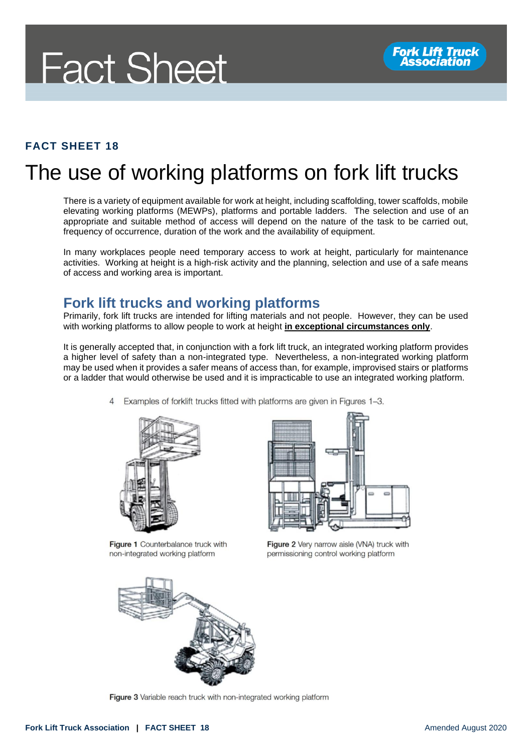#### **FACT SHEET 18**

### The use of working platforms on fork lift trucks

There is a variety of equipment available for work at height, including scaffolding, tower scaffolds, mobile elevating working platforms (MEWPs), platforms and portable ladders. The selection and use of an appropriate and suitable method of access will depend on the nature of the task to be carried out, frequency of occurrence, duration of the work and the availability of equipment.

In many workplaces people need temporary access to work at height, particularly for maintenance activities. Working at height is a high-risk activity and the planning, selection and use of a safe means of access and working area is important.

#### **Fork lift trucks and working platforms**

Primarily, fork lift trucks are intended for lifting materials and not people. However, they can be used with working platforms to allow people to work at height **in exceptional circumstances only**.

It is generally accepted that, in conjunction with a fork lift truck, an integrated working platform provides a higher level of safety than a non-integrated type. Nevertheless, a non-integrated working platform may be used when it provides a safer means of access than, for example, improvised stairs or platforms or a ladder that would otherwise be used and it is impracticable to use an integrated working platform.

> Examples of forklift trucks fitted with platforms are given in Figures 1-3.  $\overline{4}$



Figure 1 Counterbalance truck with non-integrated working platform



Figure 2 Very narrow aisle (VNA) truck with permissioning control working platform



Figure 3 Variable reach truck with non-integrated working platform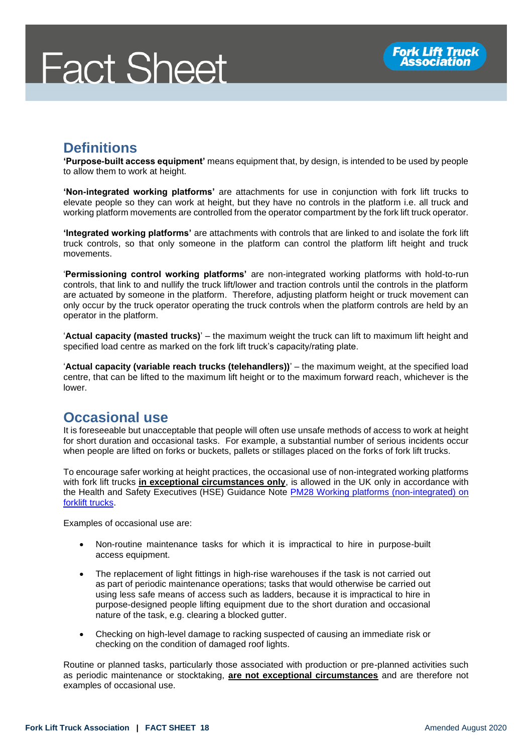#### **Definitions**

**'Purpose-built access equipment'** means equipment that, by design, is intended to be used by people to allow them to work at height.

**'Non-integrated working platforms'** are attachments for use in conjunction with fork lift trucks to elevate people so they can work at height, but they have no controls in the platform i.e. all truck and working platform movements are controlled from the operator compartment by the fork lift truck operator.

**'Integrated working platforms'** are attachments with controls that are linked to and isolate the fork lift truck controls, so that only someone in the platform can control the platform lift height and truck movements.

'**Permissioning control working platforms'** are non-integrated working platforms with hold-to-run controls, that link to and nullify the truck lift/lower and traction controls until the controls in the platform are actuated by someone in the platform. Therefore, adjusting platform height or truck movement can only occur by the truck operator operating the truck controls when the platform controls are held by an operator in the platform.

'**Actual capacity (masted trucks)**' – the maximum weight the truck can lift to maximum lift height and specified load centre as marked on the fork lift truck's capacity/rating plate.

'**Actual capacity (variable reach trucks (telehandlers))**' – the maximum weight, at the specified load centre, that can be lifted to the maximum lift height or to the maximum forward reach, whichever is the lower.

#### **Occasional use**

It is foreseeable but unacceptable that people will often use unsafe methods of access to work at height for short duration and occasional tasks. For example, a substantial number of serious incidents occur when people are lifted on forks or buckets, pallets or stillages placed on the forks of fork lift trucks.

To encourage safer working at height practices, the occasional use of non-integrated working platforms with fork lift trucks **in exceptional circumstances only**, is allowed in the UK only in accordance with the Health and Safety Executives (HSE) Guidance Note PM28 Working platforms (non-integrated) on [forklift trucks.](https://www.hse.gov.uk/pubns/pm28.pdf)

Examples of occasional use are:

- Non-routine maintenance tasks for which it is impractical to hire in purpose-built access equipment.
- The replacement of light fittings in high-rise warehouses if the task is not carried out as part of periodic maintenance operations; tasks that would otherwise be carried out using less safe means of access such as ladders, because it is impractical to hire in purpose-designed people lifting equipment due to the short duration and occasional nature of the task, e.g. clearing a blocked gutter.
- Checking on high-level damage to racking suspected of causing an immediate risk or checking on the condition of damaged roof lights.

Routine or planned tasks, particularly those associated with production or pre-planned activities such as periodic maintenance or stocktaking, **are not exceptional circumstances** and are therefore not examples of occasional use.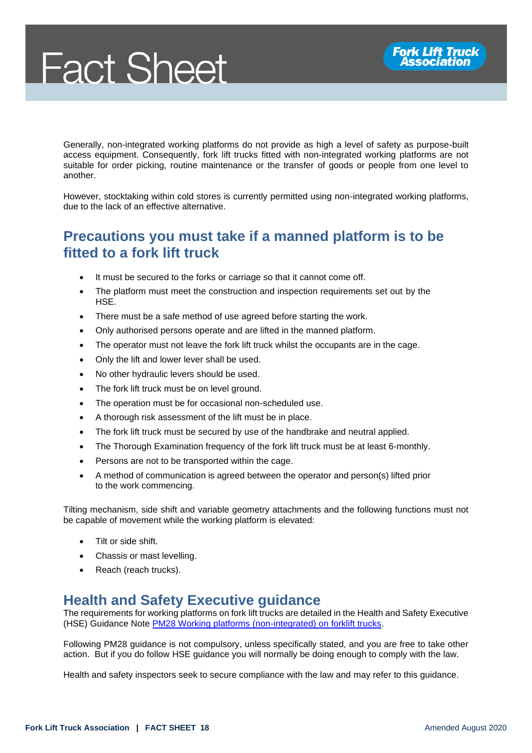Generally, non-integrated working platforms do not provide as high a level of safety as purpose-built access equipment. Consequently, fork lift trucks fitted with non-integrated working platforms are not suitable for order picking, routine maintenance or the transfer of goods or people from one level to another.

However, stocktaking within cold stores is currently permitted using non-integrated working platforms, due to the lack of an effective alternative.

#### **Precautions you must take if a manned platform is to be fitted to a fork lift truck**

- It must be secured to the forks or carriage so that it cannot come off.
- The platform must meet the construction and inspection requirements set out by the HSE.
- There must be a safe method of use agreed before starting the work.
- Only authorised persons operate and are lifted in the manned platform.
- The operator must not leave the fork lift truck whilst the occupants are in the cage.
- Only the lift and lower lever shall be used.
- No other hydraulic levers should be used.
- The fork lift truck must be on level ground.
- The operation must be for occasional non-scheduled use.
- A thorough risk assessment of the lift must be in place.
- The fork lift truck must be secured by use of the handbrake and neutral applied.
- The Thorough Examination frequency of the fork lift truck must be at least 6-monthly.
- Persons are not to be transported within the cage.
- A method of communication is agreed between the operator and person(s) lifted prior to the work commencing.

Tilting mechanism, side shift and variable geometry attachments and the following functions must not be capable of movement while the working platform is elevated:

- Tilt or side shift.
- Chassis or mast levelling.
- Reach (reach trucks).

#### **Health and Safety Executive guidance**

The requirements for working platforms on fork lift trucks are detailed in the Health and Safety Executive (HSE) Guidance Note **PM28 Working platforms (non-integrated) on forklift trucks**.

Following PM28 guidance is not compulsory, unless specifically stated, and you are free to take other action. But if you do follow HSE guidance you will normally be doing enough to comply with the law.

Health and safety inspectors seek to secure compliance with the law and may refer to this guidance.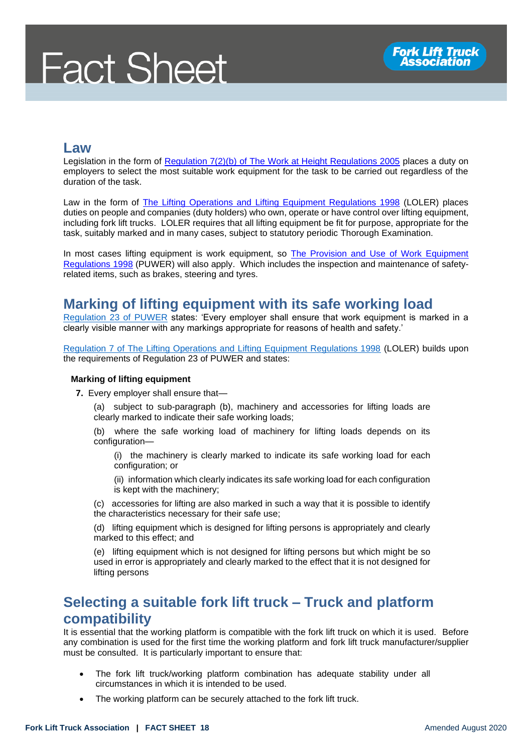#### **Law**

Legislation in the form of [Regulation 7\(2\)\(b\) of The Work at Height Regulations 2005](http://www.legislation.gov.uk/uksi/2005/735/regulation/7) places a duty on employers to select the most suitable work equipment for the task to be carried out regardless of the duration of the task.

Law in the form of [The Lifting Operations and Lifting Equipment Regulations 1998](http://www.legislation.gov.uk/uksi/1998/2307/contents/made) (LOLER) places duties on people and companies (duty holders) who own, operate or have control over lifting equipment, including fork lift trucks. LOLER requires that all lifting equipment be fit for purpose, appropriate for the task, suitably marked and in many cases, subject to statutory periodic Thorough Examination.

In most cases lifting equipment is work equipment, so [The Provision and Use of Work Equipment](http://www.legislation.gov.uk/uksi/1998/2306/contents/made)  [Regulations 1998](http://www.legislation.gov.uk/uksi/1998/2306/contents/made) (PUWER) will also apply. Which includes the inspection and maintenance of safetyrelated items, such as brakes, steering and tyres.

#### **Marking of lifting equipment with its safe working load**

[Regulation 23 of PUWER](https://www.legislation.gov.uk/uksi/1998/2306/regulation/23/made) states: 'Every employer shall ensure that work equipment is marked in a clearly visible manner with any markings appropriate for reasons of health and safety.'

Regulation 7 [of The Lifting Operations and Lifting Equipment Regulations 1998](https://www.legislation.gov.uk/uksi/1998/2307/regulation/7/made) (LOLER) builds upon the requirements of Regulation 23 of PUWER and states:

#### **Marking of lifting equipment**

- **7.** Every employer shall ensure that—
	- (a) subject to sub-paragraph (b), machinery and accessories for lifting loads are clearly marked to indicate their safe working loads;
	- (b) where the safe working load of machinery for lifting loads depends on its configuration—

(i) the machinery is clearly marked to indicate its safe working load for each configuration; or

(ii) information which clearly indicates its safe working load for each configuration is kept with the machinery;

(c) accessories for lifting are also marked in such a way that it is possible to identify the characteristics necessary for their safe use;

(d) lifting equipment which is designed for lifting persons is appropriately and clearly marked to this effect; and

(e) lifting equipment which is not designed for lifting persons but which might be so used in error is appropriately and clearly marked to the effect that it is not designed for lifting persons

#### **Selecting a suitable fork lift truck – Truck and platform compatibility**

It is essential that the working platform is compatible with the fork lift truck on which it is used. Before any combination is used for the first time the working platform and fork lift truck manufacturer/supplier must be consulted. It is particularly important to ensure that:

- The fork lift truck/working platform combination has adequate stability under all circumstances in which it is intended to be used.
- The working platform can be securely attached to the fork lift truck.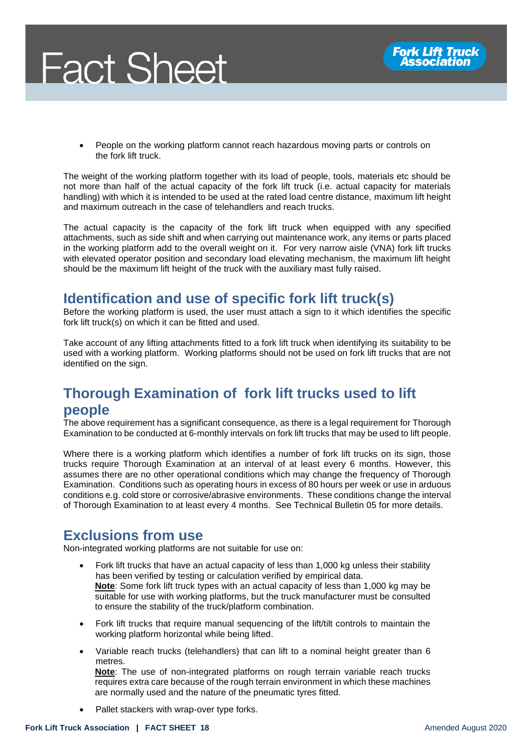



• People on the working platform cannot reach hazardous moving parts or controls on the fork lift truck.

The weight of the working platform together with its load of people, tools, materials etc should be not more than half of the actual capacity of the fork lift truck (i.e. actual capacity for materials handling) with which it is intended to be used at the rated load centre distance, maximum lift height and maximum outreach in the case of telehandlers and reach trucks.

The actual capacity is the capacity of the fork lift truck when equipped with any specified attachments, such as side shift and when carrying out maintenance work, any items or parts placed in the working platform add to the overall weight on it. For very narrow aisle (VNA) fork lift trucks with elevated operator position and secondary load elevating mechanism, the maximum lift height should be the maximum lift height of the truck with the auxiliary mast fully raised.

#### **Identification and use of specific fork lift truck(s)**

Before the working platform is used, the user must attach a sign to it which identifies the specific fork lift truck(s) on which it can be fitted and used.

Take account of any lifting attachments fitted to a fork lift truck when identifying its suitability to be used with a working platform. Working platforms should not be used on fork lift trucks that are not identified on the sign.

### **Thorough Examination of fork lift trucks used to lift people**

The above requirement has a significant consequence, as there is a legal requirement for Thorough Examination to be conducted at 6-monthly intervals on fork lift trucks that may be used to lift people.

Where there is a working platform which identifies a number of fork lift trucks on its sign, those trucks require Thorough Examination at an interval of at least every 6 months. However, this assumes there are no other operational conditions which may change the frequency of Thorough Examination. Conditions such as operating hours in excess of 80 hours per week or use in arduous conditions e.g. cold store or corrosive/abrasive environments. These conditions change the interval of Thorough Examination to at least every 4 months. See Technical Bulletin 05 for more details.

#### **Exclusions from use**

Non-integrated working platforms are not suitable for use on:

- Fork lift trucks that have an actual capacity of less than 1,000 kg unless their stability has been verified by testing or calculation verified by empirical data. **Note**: Some fork lift truck types with an actual capacity of less than 1,000 kg may be suitable for use with working platforms, but the truck manufacturer must be consulted to ensure the stability of the truck/platform combination.
- Fork lift trucks that require manual sequencing of the lift/tilt controls to maintain the working platform horizontal while being lifted.
- Variable reach trucks (telehandlers) that can lift to a nominal height greater than 6 metres.

**Note**: The use of non-integrated platforms on rough terrain variable reach trucks requires extra care because of the rough terrain environment in which these machines are normally used and the nature of the pneumatic tyres fitted.

Pallet stackers with wrap-over type forks.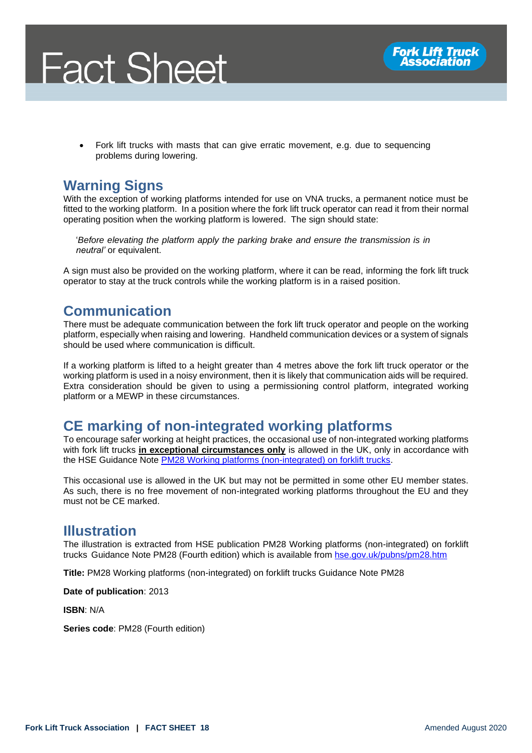



• Fork lift trucks with masts that can give erratic movement, e.g. due to sequencing problems during lowering.

#### **Warning Signs**

With the exception of working platforms intended for use on VNA trucks, a permanent notice must be fitted to the working platform. In a position where the fork lift truck operator can read it from their normal operating position when the working platform is lowered. The sign should state:

'*Before elevating the platform apply the parking brake and ensure the transmission is in neutral'* or equivalent.

A sign must also be provided on the working platform, where it can be read, informing the fork lift truck operator to stay at the truck controls while the working platform is in a raised position.

#### **Communication**

There must be adequate communication between the fork lift truck operator and people on the working platform, especially when raising and lowering. Handheld communication devices or a system of signals should be used where communication is difficult.

If a working platform is lifted to a height greater than 4 metres above the fork lift truck operator or the working platform is used in a noisy environment, then it is likely that communication aids will be required. Extra consideration should be given to using a permissioning control platform, integrated working platform or a MEWP in these circumstances.

#### **CE marking of non-integrated working platforms**

To encourage safer working at height practices, the occasional use of non-integrated working platforms with fork lift trucks **in exceptional circumstances only** is allowed in the UK, only in accordance with the HSE Guidance Note **PM28 Working platforms (non-integrated) on forklift trucks**.

This occasional use is allowed in the UK but may not be permitted in some other EU member states. As such, there is no free movement of non-integrated working platforms throughout the EU and they must not be CE marked.

#### **Illustration**

The illustration is extracted from HSE publication PM28 Working platforms (non-integrated) on forklift trucks Guidance Note PM28 (Fourth edition) which is available from [hse.gov.uk/pubns/pm28.htm](https://www.hse.gov.uk/pubns/pm28.pdf)

**Title:** PM28 Working platforms (non-integrated) on forklift trucks Guidance Note PM28

**Date of publication**: 2013

**ISBN**: N/A

**Series code**: PM28 (Fourth edition)